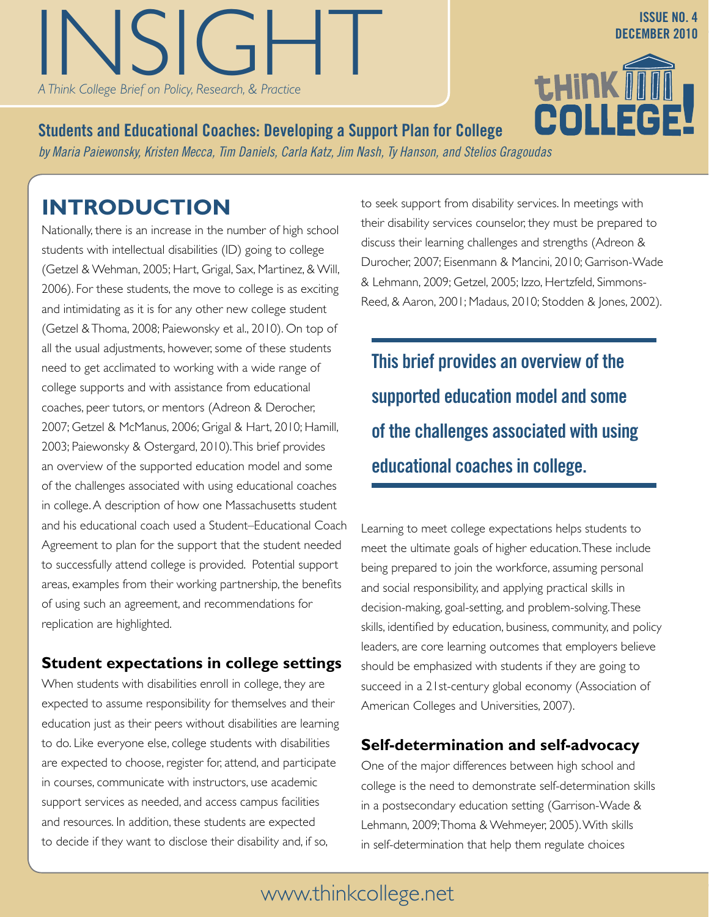**DECEMBER 2010**<br>A Think College Brief on Policy, Research, & Practice<br>**T.HINK TITHER 2010** *A Think College Brief on Policy, Research, & Practice*

**INSIGHT: A Think College Brief on Policy, Research, Research, Research, Research, Research, Research, Research, Research, Research, Research, Research, Research, Research, Research, Research, Research, Research, Research,** 

**Students and Educational Coaches: Developing a Support Plan for College** *by Maria Paiewonsky, Kristen Mecca, Tim Daniels, Carla Katz, Jim Nash, Ty Hanson, and Stelios Gragoudas*

# **Introduction**

Nationally, there is an increase in the number of high school students with intellectual disabilities (ID) going to college (Getzel & Wehman, 2005; Hart, Grigal, Sax, Martinez, & Will, 2006). For these students, the move to college is as exciting and intimidating as it is for any other new college student (Getzel & Thoma, 2008; Paiewonsky et al., 2010). On top of all the usual adjustments, however, some of these students need to get acclimated to working with a wide range of college supports and with assistance from educational coaches, peer tutors, or mentors (Adreon & Derocher, 2007; Getzel & McManus, 2006; Grigal & Hart, 2010; Hamill, 2003; Paiewonsky & Ostergard, 2010). This brief provides an overview of the supported education model and some of the challenges associated with using educational coaches in college. A description of how one Massachusetts student and his educational coach used a Student–Educational Coach Agreement to plan for the support that the student needed to successfully attend college is provided. Potential support areas, examples from their working partnership, the benefits of using such an agreement, and recommendations for replication are highlighted.

### **Student expectations in college settings**

When students with disabilities enroll in college, they are expected to assume responsibility for themselves and their education just as their peers without disabilities are learning to do. Like everyone else, college students with disabilities are expected to choose, register for, attend, and participate in courses, communicate with instructors, use academic support services as needed, and access campus facilities and resources. In addition, these students are expected to decide if they want to disclose their disability and, if so,

to seek support from disability services. In meetings with their disability services counselor, they must be prepared to discuss their learning challenges and strengths (Adreon & Durocher, 2007; Eisenmann & Mancini, 2010; Garrison-Wade & Lehmann, 2009; Getzel, 2005; Izzo, Hertzfeld, Simmons-Reed, & Aaron, 2001; Madaus, 2010; Stodden & Jones, 2002).

**This brief provides an overview of the supported education model and some of the challenges associated with using educational coaches in college.**

Learning to meet college expectations helps students to meet the ultimate goals of higher education. These include being prepared to join the workforce, assuming personal and social responsibility, and applying practical skills in decision-making, goal-setting, and problem-solving. These skills, identified by education, business, community, and policy leaders, are core learning outcomes that employers believe should be emphasized with students if they are going to succeed in a 21st-century global economy (Association of American Colleges and Universities, 2007).

### **Self-determination and self-advocacy**

One of the major differences between high school and college is the need to demonstrate self-determination skills in a postsecondary education setting (Garrison-Wade & Lehmann, 2009; Thoma & Wehmeyer, 2005). With skills in self-determination that help them regulate choices

# www.thinkcollege.net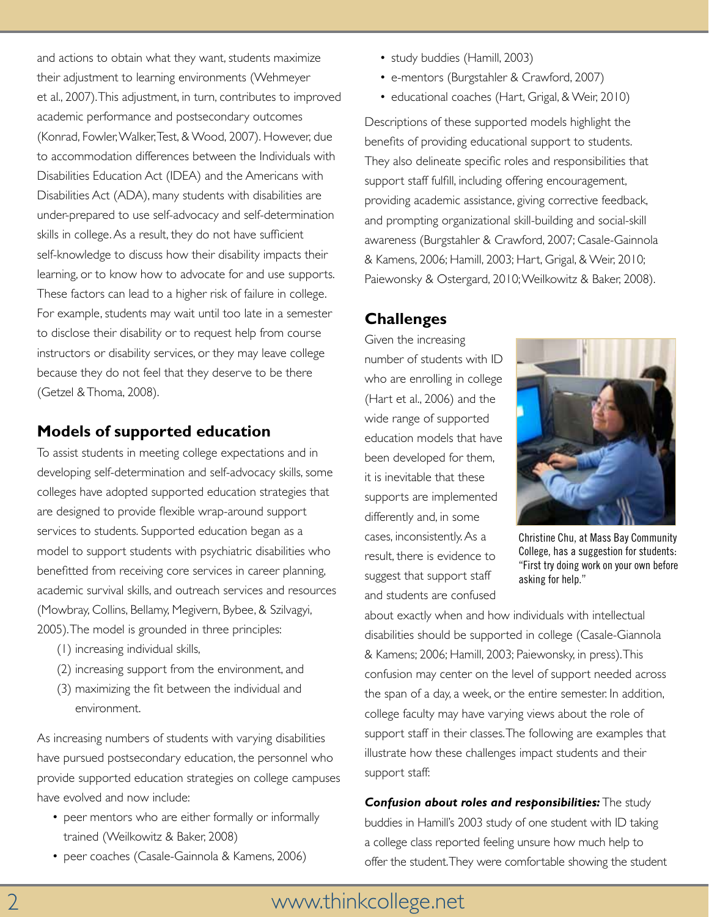and actions to obtain what they want, students maximize their adjustment to learning environments (Wehmeyer et al., 2007). This adjustment, in turn, contributes to improved academic performance and postsecondary outcomes (Konrad, Fowler, Walker, Test, & Wood, 2007). However, due to accommodation differences between the Individuals with Disabilities Education Act (IDEA) and the Americans with Disabilities Act (ADA), many students with disabilities are under-prepared to use self-advocacy and self-determination skills in college. As a result, they do not have sufficient self-knowledge to discuss how their disability impacts their learning, or to know how to advocate for and use supports. These factors can lead to a higher risk of failure in college. For example, students may wait until too late in a semester to disclose their disability or to request help from course instructors or disability services, or they may leave college because they do not feel that they deserve to be there (Getzel & Thoma, 2008).

### **Models of supported education**

To assist students in meeting college expectations and in developing self-determination and self-advocacy skills, some colleges have adopted supported education strategies that are designed to provide flexible wrap-around support services to students. Supported education began as a model to support students with psychiatric disabilities who benefitted from receiving core services in career planning, academic survival skills, and outreach services and resources (Mowbray, Collins, Bellamy, Megivern, Bybee, & Szilvagyi, 2005). The model is grounded in three principles:

- (1) increasing individual skills,
- (2) increasing support from the environment, and
- (3) maximizing the fit between the individual and environment.

As increasing numbers of students with varying disabilities have pursued postsecondary education, the personnel who provide supported education strategies on college campuses have evolved and now include:

- peer mentors who are either formally or informally trained (Weilkowitz & Baker, 2008)
- peer coaches (Casale-Gainnola & Kamens, 2006)
- study buddies (Hamill, 2003)
- e-mentors (Burgstahler & Crawford, 2007)
- educational coaches (Hart, Grigal, & Weir, 2010)

Descriptions of these supported models highlight the benefits of providing educational support to students. They also delineate specific roles and responsibilities that support staff fulfill, including offering encouragement, providing academic assistance, giving corrective feedback, and prompting organizational skill-building and social-skill awareness (Burgstahler & Crawford, 2007; Casale-Gainnola & Kamens, 2006; Hamill, 2003; Hart, Grigal, & Weir, 2010; Paiewonsky & Ostergard, 2010; Weilkowitz & Baker, 2008).

### **Challenges**

Given the increasing number of students with ID who are enrolling in college (Hart et al., 2006) and the wide range of supported education models that have been developed for them, it is inevitable that these supports are implemented differently and, in some cases, inconsistently. As a result, there is evidence to suggest that support staff and students are confused



Christine Chu, at Mass Bay Community College, has a suggestion for students: "First try doing work on your own before asking for help."

about exactly when and how individuals with intellectual disabilities should be supported in college (Casale-Giannola & Kamens; 2006; Hamill, 2003; Paiewonsky, in press). This confusion may center on the level of support needed across the span of a day, a week, or the entire semester. In addition, college faculty may have varying views about the role of support staff in their classes. The following are examples that illustrate how these challenges impact students and their support staff:

*Confusion about roles and responsibilities:* The study buddies in Hamill's 2003 study of one student with ID taking a college class reported feeling unsure how much help to offer the student. They were comfortable showing the student

# 2 www.thinkcollege.net www.thinkcollege.net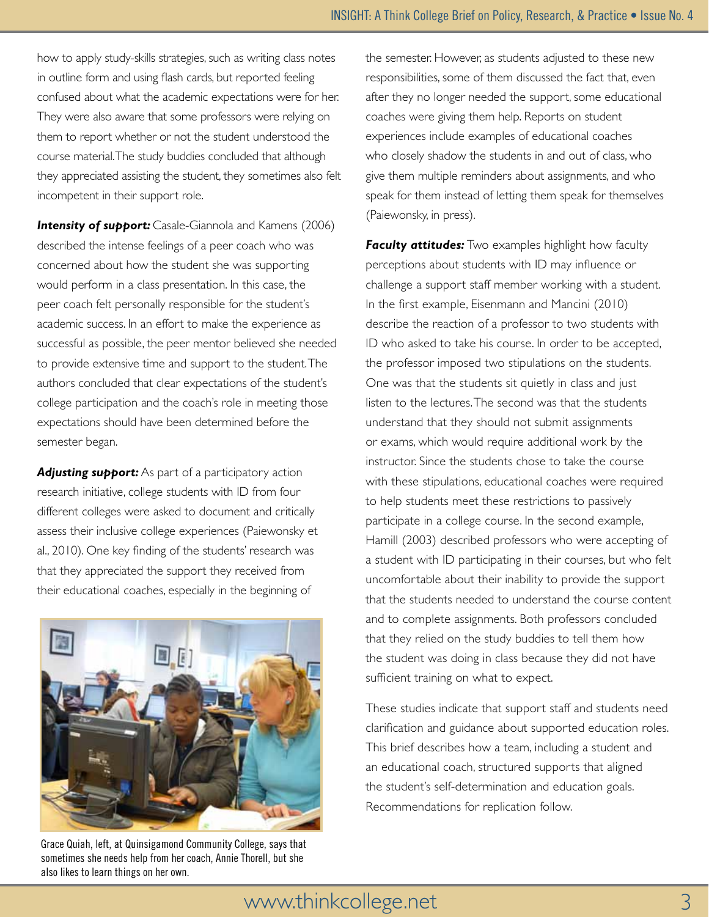how to apply study-skills strategies, such as writing class notes in outline form and using flash cards, but reported feeling confused about what the academic expectations were for her. They were also aware that some professors were relying on them to report whether or not the student understood the course material. The study buddies concluded that although they appreciated assisting the student, they sometimes also felt incompetent in their support role.

**Intensity of support:** Casale-Giannola and Kamens (2006) described the intense feelings of a peer coach who was concerned about how the student she was supporting would perform in a class presentation. In this case, the peer coach felt personally responsible for the student's academic success. In an effort to make the experience as successful as possible, the peer mentor believed she needed to provide extensive time and support to the student. The authors concluded that clear expectations of the student's college participation and the coach's role in meeting those expectations should have been determined before the semester began.

**Adjusting support:** As part of a participatory action research initiative, college students with ID from four different colleges were asked to document and critically assess their inclusive college experiences (Paiewonsky et al., 2010). One key finding of the students' research was that they appreciated the support they received from their educational coaches, especially in the beginning of



Grace Quiah, left, at Quinsigamond Community College, says that sometimes she needs help from her coach, Annie Thorell, but she also likes to learn things on her own.

the semester. However, as students adjusted to these new responsibilities, some of them discussed the fact that, even after they no longer needed the support, some educational coaches were giving them help. Reports on student experiences include examples of educational coaches who closely shadow the students in and out of class, who give them multiple reminders about assignments, and who speak for them instead of letting them speak for themselves (Paiewonsky, in press).

**Faculty attitudes:** Two examples highlight how faculty perceptions about students with ID may influence or challenge a support staff member working with a student. In the first example, Eisenmann and Mancini (2010) describe the reaction of a professor to two students with ID who asked to take his course. In order to be accepted, the professor imposed two stipulations on the students. One was that the students sit quietly in class and just listen to the lectures. The second was that the students understand that they should not submit assignments or exams, which would require additional work by the instructor. Since the students chose to take the course with these stipulations, educational coaches were required to help students meet these restrictions to passively participate in a college course. In the second example, Hamill (2003) described professors who were accepting of a student with ID participating in their courses, but who felt uncomfortable about their inability to provide the support that the students needed to understand the course content and to complete assignments. Both professors concluded that they relied on the study buddies to tell them how the student was doing in class because they did not have sufficient training on what to expect.

These studies indicate that support staff and students need clarification and guidance about supported education roles. This brief describes how a team, including a student and an educational coach, structured supports that aligned the student's self-determination and education goals. Recommendations for replication follow.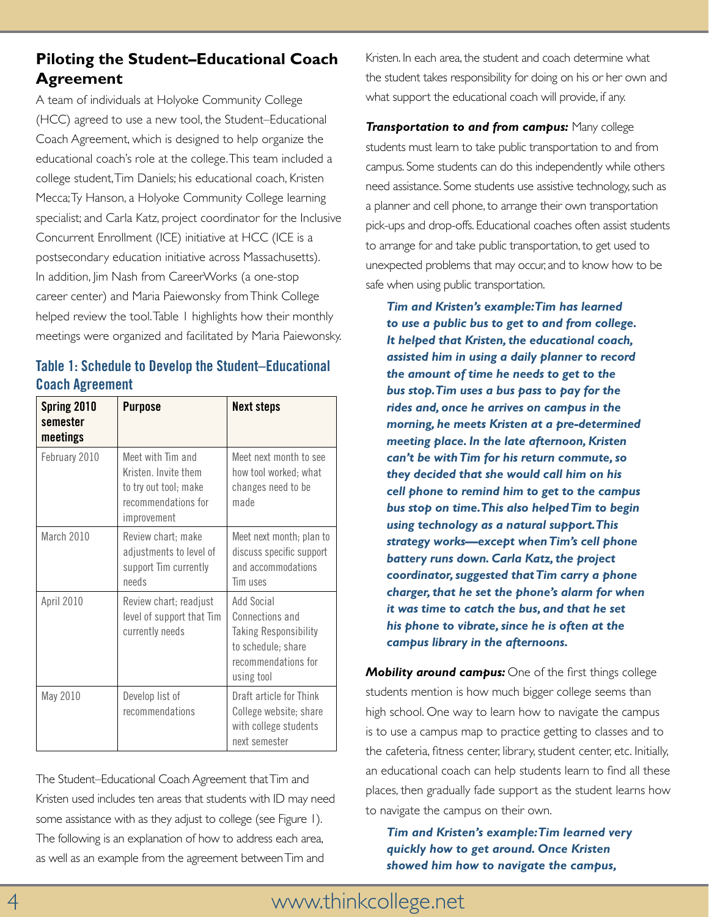### **Piloting the Student–Educational Coach Agreement**

A team of individuals at Holyoke Community College (HCC) agreed to use a new tool, the Student–Educational Coach Agreement, which is designed to help organize the educational coach's role at the college. This team included a college student, Tim Daniels; his educational coach, Kristen Mecca; Ty Hanson, a Holyoke Community College learning specialist; and Carla Katz, project coordinator for the Inclusive Concurrent Enrollment (ICE) initiative at HCC (ICE is a postsecondary education initiative across Massachusetts). In addition, Jim Nash from CareerWorks (a one-stop career center) and Maria Paiewonsky from Think College helped review the tool. Table 1 highlights how their monthly meetings were organized and facilitated by Maria Paiewonsky.

### **Table 1: Schedule to Develop the Student–Educational Coach Agreement**

| Spring 2010<br>semester<br>meetings | <b>Purpose</b>                                                                                           | <b>Next steps</b>                                                                                                        |
|-------------------------------------|----------------------------------------------------------------------------------------------------------|--------------------------------------------------------------------------------------------------------------------------|
| February 2010                       | Meet with Tim and<br>Kristen. Invite them<br>to try out tool; make<br>recommendations for<br>improvement | Meet next month to see<br>how tool worked; what<br>changes need to be<br>made                                            |
| March 2010                          | Review chart; make<br>adjustments to level of<br>support Tim currently<br>needs                          | Meet next month; plan to<br>discuss specific support<br>and accommodations<br>Tim uses                                   |
| April 2010                          | Review chart; readjust<br>level of support that Tim<br>currently needs                                   | Add Social<br>Connections and<br><b>Taking Responsibility</b><br>to schedule; share<br>recommendations for<br>using tool |
| May 2010                            | Develop list of<br>recommendations                                                                       | Draft article for Think<br>College website; share<br>with college students<br>next semester                              |

The Student–Educational Coach Agreement that Tim and Kristen used includes ten areas that students with ID may need some assistance with as they adjust to college (see Figure 1). The following is an explanation of how to address each area, as well as an example from the agreement between Tim and

Kristen. In each area, the student and coach determine what the student takes responsibility for doing on his or her own and what support the educational coach will provide, if any.

*Transportation to and from campus:* Many college students must learn to take public transportation to and from campus. Some students can do this independently while others need assistance. Some students use assistive technology, such as a planner and cell phone, to arrange their own transportation pick-ups and drop-offs. Educational coaches often assist students to arrange for and take public transportation, to get used to unexpected problems that may occur, and to know how to be safe when using public transportation.

*Tim and Kristen's example: Tim has learned to use a public bus to get to and from college. It helped that Kristen, the educational coach, assisted him in using a daily planner to record the amount of time he needs to get to the bus stop. Tim uses a bus pass to pay for the rides and, once he arrives on campus in the morning, he meets Kristen at a pre-determined meeting place. In the late afternoon, Kristen can't be with Tim for his return commute, so they decided that she would call him on his cell phone to remind him to get to the campus bus stop on time. This also helped Tim to begin using technology as a natural support. This strategy works—except when Tim's cell phone battery runs down. Carla Katz, the project coordinator, suggested that Tim carry a phone charger, that he set the phone's alarm for when it was time to catch the bus, and that he set his phone to vibrate, since he is often at the campus library in the afternoons.*

*Mobility around campus:* One of the first things college students mention is how much bigger college seems than high school. One way to learn how to navigate the campus is to use a campus map to practice getting to classes and to the cafeteria, fitness center, library, student center, etc. Initially, an educational coach can help students learn to find all these places, then gradually fade support as the student learns how to navigate the campus on their own.

*Tim and Kristen's example: Tim learned very quickly how to get around. Once Kristen showed him how to navigate the campus,*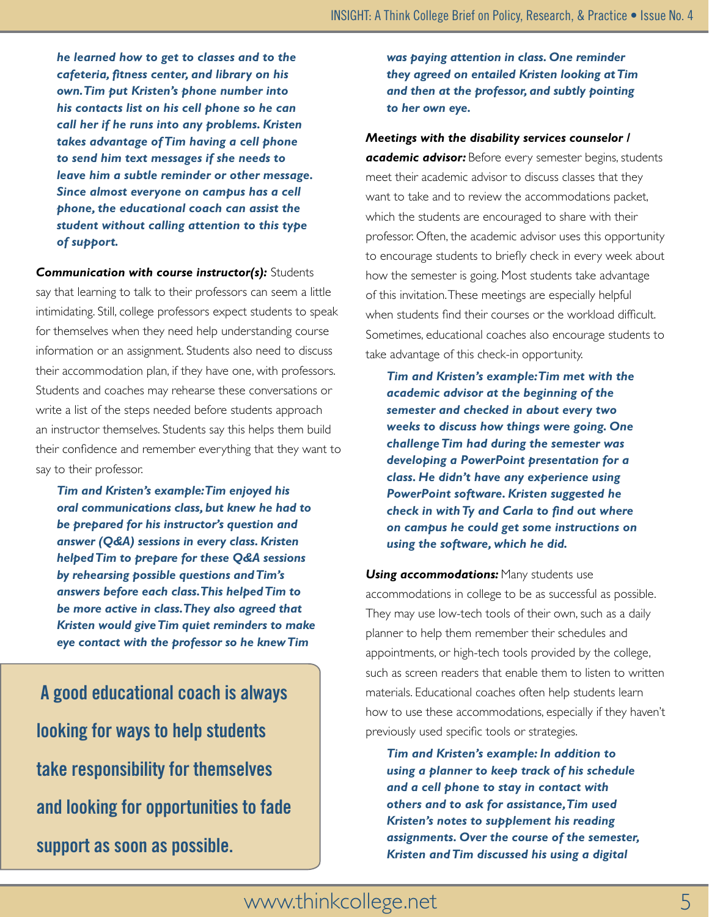*he learned how to get to classes and to the cafeteria, fitness center, and library on his own. Tim put Kristen's phone number into his contacts list on his cell phone so he can call her if he runs into any problems. Kristen takes advantage of Tim having a cell phone to send him text messages if she needs to leave him a subtle reminder or other message. Since almost everyone on campus has a cell phone, the educational coach can assist the student without calling attention to this type of support.* 

*Communication with course instructor(s):* Students say that learning to talk to their professors can seem a little intimidating. Still, college professors expect students to speak for themselves when they need help understanding course information or an assignment. Students also need to discuss their accommodation plan, if they have one, with professors. Students and coaches may rehearse these conversations or write a list of the steps needed before students approach an instructor themselves. Students say this helps them build their confidence and remember everything that they want to say to their professor.

*Tim and Kristen's example: Tim enjoyed his oral communications class, but knew he had to be prepared for his instructor's question and answer (Q&A) sessions in every class. Kristen helped Tim to prepare for these Q&A sessions by rehearsing possible questions and Tim's answers before each class. This helped Tim to be more active in class. They also agreed that Kristen would give Tim quiet reminders to make eye contact with the professor so he knew Tim* 

 **A good educational coach is always looking for ways to help students take responsibility for themselves and looking for opportunities to fade support as soon as possible.** 

*was paying attention in class. One reminder they agreed on entailed Kristen looking at Tim and then at the professor, and subtly pointing to her own eye.*

#### *Meetings with the disability services counselor /*

*academic advisor:* Before every semester begins, students meet their academic advisor to discuss classes that they want to take and to review the accommodations packet, which the students are encouraged to share with their professor. Often, the academic advisor uses this opportunity to encourage students to briefly check in every week about how the semester is going. Most students take advantage of this invitation. These meetings are especially helpful when students find their courses or the workload difficult. Sometimes, educational coaches also encourage students to take advantage of this check-in opportunity.

*Tim and Kristen's example: Tim met with the academic advisor at the beginning of the semester and checked in about every two weeks to discuss how things were going. One challenge Tim had during the semester was developing a PowerPoint presentation for a class. He didn't have any experience using PowerPoint software. Kristen suggested he check in with Ty and Carla to find out where on campus he could get some instructions on using the software, which he did.*

*Using accommodations: Many students use* accommodations in college to be as successful as possible. They may use low-tech tools of their own, such as a daily planner to help them remember their schedules and appointments, or high-tech tools provided by the college, such as screen readers that enable them to listen to written materials. Educational coaches often help students learn how to use these accommodations, especially if they haven't previously used specific tools or strategies.

*Tim and Kristen's example: In addition to using a planner to keep track of his schedule and a cell phone to stay in contact with others and to ask for assistance, Tim used Kristen's notes to supplement his reading assignments. Over the course of the semester, Kristen and Tim discussed his using a digital* 

### www.thinkcollege.net 5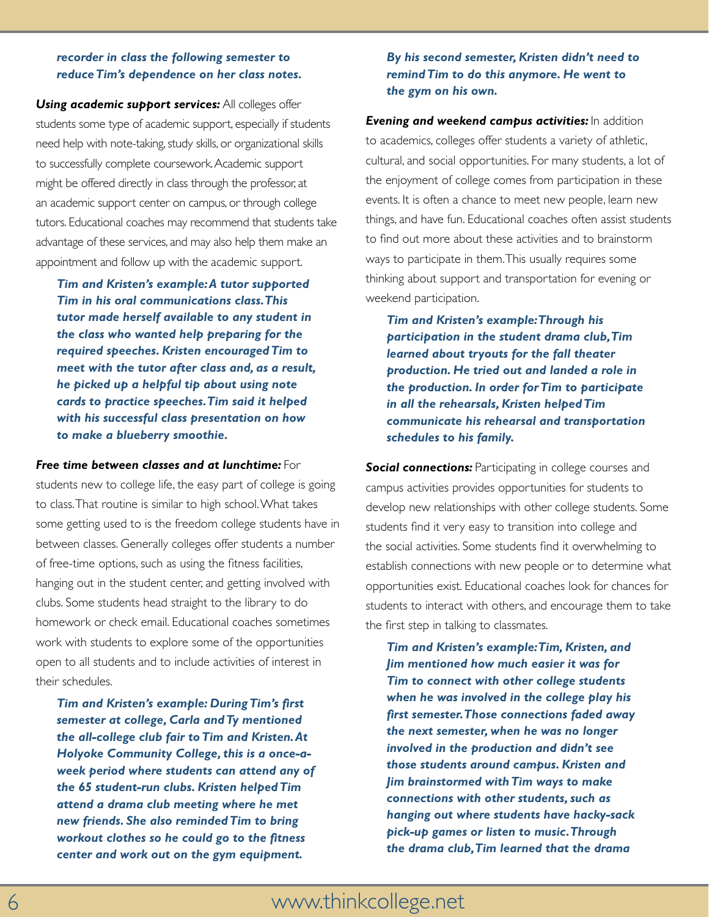#### *recorder in class the following semester to reduce Tim's dependence on her class notes.*

**Using academic support services:** All colleges offer students some type of academic support, especially if students need help with note-taking, study skills, or organizational skills to successfully complete coursework. Academic support might be offered directly in class through the professor, at an academic support center on campus, or through college tutors. Educational coaches may recommend that students take advantage of these services, and may also help them make an appointment and follow up with the academic support.

*Tim and Kristen's example: A tutor supported Tim in his oral communications class. This tutor made herself available to any student in the class who wanted help preparing for the required speeches. Kristen encouraged Tim to meet with the tutor after class and, as a result, he picked up a helpful tip about using note cards to practice speeches. Tim said it helped with his successful class presentation on how to make a blueberry smoothie.*

*Free time between classes and at lunchtime:* For students new to college life, the easy part of college is going to class. That routine is similar to high school. What takes some getting used to is the freedom college students have in between classes. Generally colleges offer students a number of free-time options, such as using the fitness facilities, hanging out in the student center, and getting involved with clubs. Some students head straight to the library to do homework or check email. Educational coaches sometimes work with students to explore some of the opportunities open to all students and to include activities of interest in their schedules.

*Tim and Kristen's example: During Tim's first semester at college, Carla and Ty mentioned the all-college club fair to Tim and Kristen. At Holyoke Community College, this is a once-aweek period where students can attend any of the 65 student-run clubs. Kristen helped Tim attend a drama club meeting where he met new friends. She also reminded Tim to bring workout clothes so he could go to the fitness center and work out on the gym equipment.* 

#### *By his second semester, Kristen didn't need to remind Tim to do this anymore. He went to the gym on his own.*

*Evening and weekend campus activities:* In addition to academics, colleges offer students a variety of athletic, cultural, and social opportunities. For many students, a lot of the enjoyment of college comes from participation in these events. It is often a chance to meet new people, learn new things, and have fun. Educational coaches often assist students to find out more about these activities and to brainstorm ways to participate in them. This usually requires some thinking about support and transportation for evening or weekend participation.

*Tim and Kristen's example: Through his participation in the student drama club, Tim learned about tryouts for the fall theater production. He tried out and landed a role in the production. In order for Tim to participate in all the rehearsals, Kristen helped Tim communicate his rehearsal and transportation schedules to his family.*

**Social connections:** Participating in college courses and campus activities provides opportunities for students to develop new relationships with other college students. Some students find it very easy to transition into college and the social activities. Some students find it overwhelming to establish connections with new people or to determine what opportunities exist. Educational coaches look for chances for students to interact with others, and encourage them to take the first step in talking to classmates.

*Tim and Kristen's example: Tim, Kristen, and Jim mentioned how much easier it was for Tim to connect with other college students when he was involved in the college play his first semester. Those connections faded away the next semester, when he was no longer involved in the production and didn't see those students around campus. Kristen and Jim brainstormed with Tim ways to make connections with other students, such as hanging out where students have hacky-sack pick-up games or listen to music. Through the drama club, Tim learned that the drama*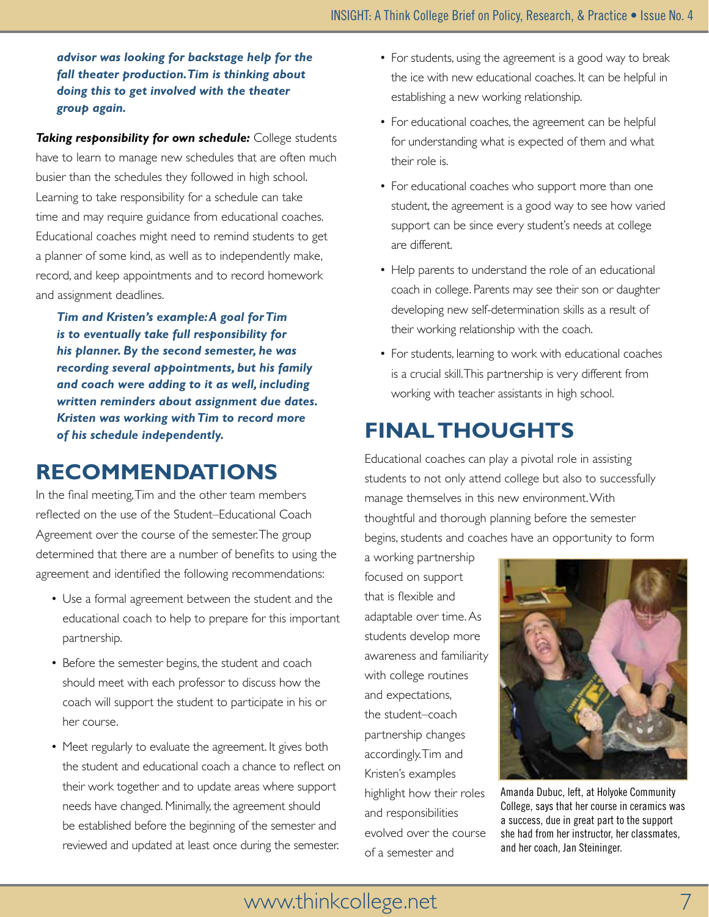#### *advisor was looking for backstage help for the fall theater production. Tim is thinking about doing this to get involved with the theater group again.*

*Taking responsibility for own schedule:* College students have to learn to manage new schedules that are often much busier than the schedules they followed in high school. Learning to take responsibility for a schedule can take time and may require guidance from educational coaches. Educational coaches might need to remind students to get a planner of some kind, as well as to independently make, record, and keep appointments and to record homework and assignment deadlines.

*Tim and Kristen's example: A goal for Tim is to eventually take full responsibility for his planner. By the second semester, he was recording several appointments, but his family and coach were adding to it as well, including written reminders about assignment due dates. Kristen was working with Tim to record more of his schedule independently.*

# **Recommendations**

In the final meeting, Tim and the other team members reflected on the use of the Student–Educational Coach Agreement over the course of the semester. The group determined that there are a number of benefits to using the agreement and identified the following recommendations:

- Use a formal agreement between the student and the educational coach to help to prepare for this important partnership.
- Before the semester begins, the student and coach should meet with each professor to discuss how the coach will support the student to participate in his or her course.
- Meet regularly to evaluate the agreement. It gives both the student and educational coach a chance to reflect on their work together and to update areas where support needs have changed. Minimally, the agreement should be established before the beginning of the semester and reviewed and updated at least once during the semester.
- For students, using the agreement is a good way to break the ice with new educational coaches. It can be helpful in establishing a new working relationship.
- For educational coaches, the agreement can be helpful for understanding what is expected of them and what their role is.
- For educational coaches who support more than one student, the agreement is a good way to see how varied support can be since every student's needs at college are different.
- Help parents to understand the role of an educational coach in college. Parents may see their son or daughter developing new self-determination skills as a result of their working relationship with the coach.
- For students, learning to work with educational coaches is a crucial skill. This partnership is very different from working with teacher assistants in high school.

# **Final thoughts**

Educational coaches can play a pivotal role in assisting students to not only attend college but also to successfully manage themselves in this new environment. With thoughtful and thorough planning before the semester begins, students and coaches have an opportunity to form

a working partnership focused on support that is flexible and adaptable over time. As students develop more awareness and familiarity with college routines and expectations, the student–coach partnership changes accordingly. Tim and Kristen's examples highlight how their roles and responsibilities evolved over the course of a semester and



Amanda Dubuc, left, at Holyoke Community College, says that her course in ceramics was a success, due in great part to the support she had from her instructor, her classmates, and her coach, Jan Steininger.

### www.thinkcollege.net 7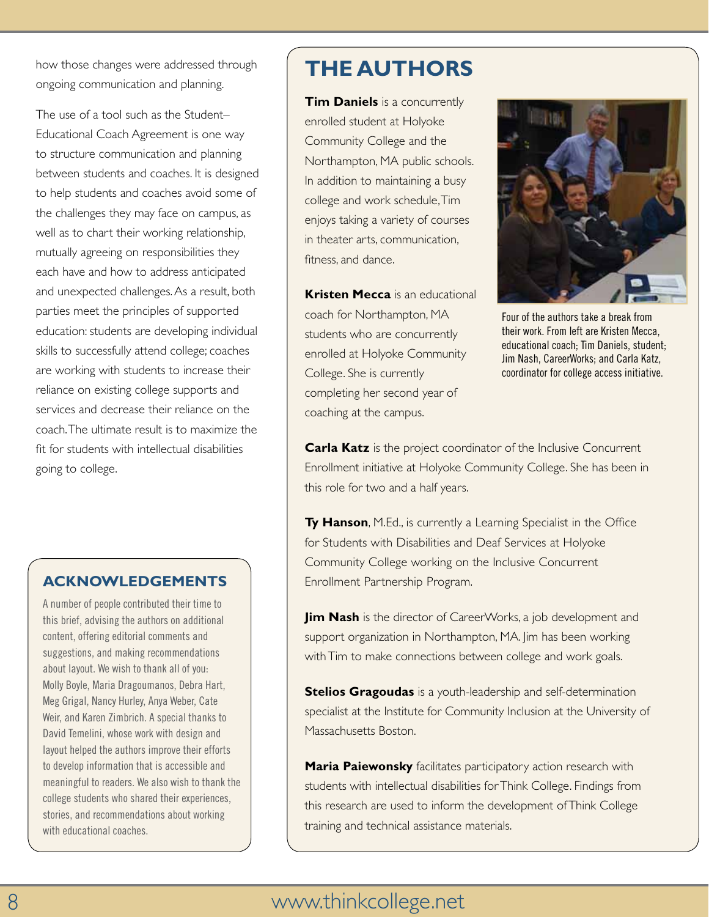how those changes were addressed through ongoing communication and planning.

The use of a tool such as the Student– Educational Coach Agreement is one way to structure communication and planning between students and coaches. It is designed to help students and coaches avoid some of the challenges they may face on campus, as well as to chart their working relationship, mutually agreeing on responsibilities they each have and how to address anticipated and unexpected challenges. As a result, both parties meet the principles of supported education: students are developing individual skills to successfully attend college; coaches are working with students to increase their reliance on existing college supports and services and decrease their reliance on the coach. The ultimate result is to maximize the fit for students with intellectual disabilities going to college.

### **acknowledgements**

A number of people contributed their time to this brief, advising the authors on additional content, offering editorial comments and suggestions, and making recommendations about layout. We wish to thank all of you: Molly Boyle, Maria Dragoumanos, Debra Hart, Meg Grigal, Nancy Hurley, Anya Weber, Cate Weir, and Karen Zimbrich. A special thanks to David Temelini, whose work with design and layout helped the authors improve their efforts to develop information that is accessible and meaningful to readers. We also wish to thank the college students who shared their experiences, stories, and recommendations about working with educational coaches.

## **The authors**

**Tim Daniels** is a concurrently enrolled student at Holyoke Community College and the Northampton, MA public schools. In addition to maintaining a busy college and work schedule, Tim enjoys taking a variety of courses in theater arts, communication, fitness, and dance.

**Kristen Mecca** is an educational coach for Northampton, MA students who are concurrently enrolled at Holyoke Community College. She is currently completing her second year of coaching at the campus.



Four of the authors take a break from their work. From left are Kristen Mecca, educational coach; Tim Daniels, student; Jim Nash, CareerWorks; and Carla Katz, coordinator for college access initiative.

**Carla Katz** is the project coordinator of the Inclusive Concurrent Enrollment initiative at Holyoke Community College. She has been in this role for two and a half years.

**Ty Hanson**, M.Ed., is currently a Learning Specialist in the Office for Students with Disabilities and Deaf Services at Holyoke Community College working on the Inclusive Concurrent Enrollment Partnership Program.

**Jim Nash** is the director of CareerWorks, a job development and support organization in Northampton, MA. Jim has been working with Tim to make connections between college and work goals.

**Stelios Gragoudas** is a youth-leadership and self-determination specialist at the Institute for Community Inclusion at the University of Massachusetts Boston.

**Maria Paiewonsky** facilitates participatory action research with students with intellectual disabilities for Think College. Findings from this research are used to inform the development of Think College training and technical assistance materials.

## 8 www.thinkcollege.net www.thinkcollege.net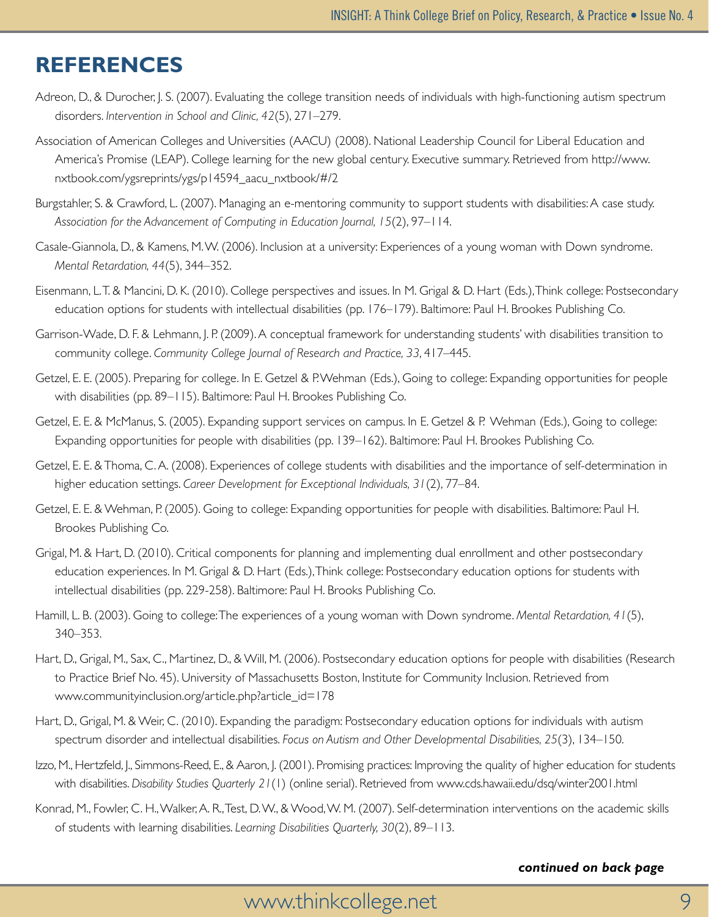### **References**

- Adreon, D., & Durocher, J. S. (2007). Evaluating the college transition needs of individuals with high-functioning autism spectrum disorders. *Intervention in School and Clinic, 42*(5), 271–279.
- Association of American Colleges and Universities (AACU) (2008). National Leadership Council for Liberal Education and America's Promise (LEAP). College learning for the new global century. Executive summary. Retrieved from http://www. nxtbook.com/ygsreprints/ygs/p14594\_aacu\_nxtbook/#/2
- Burgstahler, S. & Crawford, L. (2007). Managing an e-mentoring community to support students with disabilities: A case study. *Association for the Advancement of Computing in Education Journal, 15*(2), 97–114.
- Casale-Giannola, D., & Kamens, M. W. (2006). Inclusion at a university: Experiences of a young woman with Down syndrome. *Mental Retardation, 44*(5), 344–352.
- Eisenmann, L. T. & Mancini, D. K. (2010). College perspectives and issues. In M. Grigal & D. Hart (Eds.), Think college: Postsecondary education options for students with intellectual disabilities (pp. 176–179). Baltimore: Paul H. Brookes Publishing Co.
- Garrison-Wade, D. F. & Lehmann, J. P. (2009). A conceptual framework for understanding students' with disabilities transition to community college. *Community College Journal of Research and Practice, 33*, 417–445.
- Getzel, E. E. (2005). Preparing for college. In E. Getzel & P. Wehman (Eds.), Going to college: Expanding opportunities for people with disabilities (pp. 89–115). Baltimore: Paul H. Brookes Publishing Co.
- Getzel, E. E. & McManus, S. (2005). Expanding support services on campus. In E. Getzel & P. Wehman (Eds.), Going to college: Expanding opportunities for people with disabilities (pp. 139–162). Baltimore: Paul H. Brookes Publishing Co.
- Getzel, E. E. & Thoma, C. A. (2008). Experiences of college students with disabilities and the importance of self-determination in higher education settings. *Career Development for Exceptional Individuals, 31*(2), 77–84.
- Getzel, E. E. & Wehman, P. (2005). Going to college: Expanding opportunities for people with disabilities. Baltimore: Paul H. Brookes Publishing Co.
- Grigal, M. & Hart, D. (2010). Critical components for planning and implementing dual enrollment and other postsecondary education experiences. In M. Grigal & D. Hart (Eds.), Think college: Postsecondary education options for students with intellectual disabilities (pp. 229-258). Baltimore: Paul H. Brooks Publishing Co.
- Hamill, L. B. (2003). Going to college: The experiences of a young woman with Down syndrome. *Mental Retardation, 41*(5), 340–353.
- Hart, D., Grigal, M., Sax, C., Martinez, D., & Will, M. (2006). Postsecondary education options for people with disabilities (Research to Practice Brief No. 45). University of Massachusetts Boston, Institute for Community Inclusion. Retrieved from www.communityinclusion.org/article.php?article\_id=178
- Hart, D., Grigal, M. & Weir, C. (2010). Expanding the paradigm: Postsecondary education options for individuals with autism spectrum disorder and intellectual disabilities. *Focus on Autism and Other Developmental Disabilities, 25*(3), 134–150.
- Izzo, M., Hertzfeld, J., Simmons-Reed, E., & Aaron, J. (2001). Promising practices: Improving the quality of higher education for students with disabilities. *Disability Studies Quarterly 21*(1) (online serial). Retrieved from www.cds.hawaii.edu/dsq/winter2001.html
- Konrad, M., Fowler, C. H., Walker, A. R., Test, D. W., & Wood, W. M. (2007). Self-determination interventions on the academic skills of students with learning disabilities. *Learning Disabilities Quarterly, 30*(2), 89–113.

#### *continued on back page*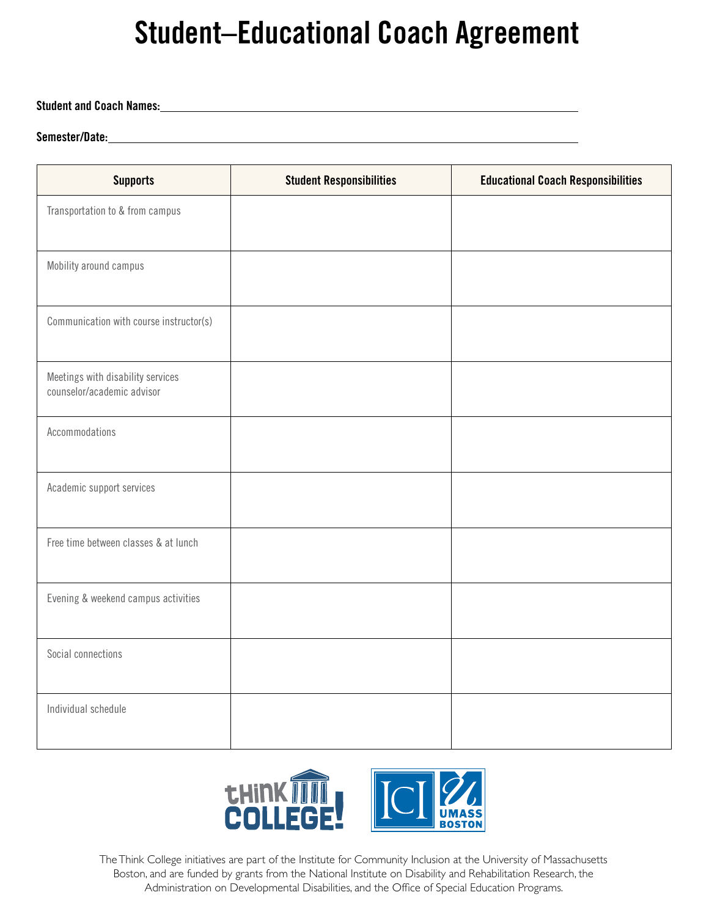# **Student–Educational Coach Agreement**

#### **Student and Coach Names:**

#### **Semester/Date:**

| <b>Supports</b>                                                 | <b>Student Responsibilities</b> | <b>Educational Coach Responsibilities</b> |
|-----------------------------------------------------------------|---------------------------------|-------------------------------------------|
| Transportation to & from campus                                 |                                 |                                           |
| Mobility around campus                                          |                                 |                                           |
| Communication with course instructor(s)                         |                                 |                                           |
| Meetings with disability services<br>counselor/academic advisor |                                 |                                           |
| Accommodations                                                  |                                 |                                           |
| Academic support services                                       |                                 |                                           |
| Free time between classes & at lunch                            |                                 |                                           |
| Evening & weekend campus activities                             |                                 |                                           |
| Social connections                                              |                                 |                                           |
| Individual schedule                                             |                                 |                                           |



The Think College initiatives are part of the Institute for Community Inclusion at the University of Massachusetts Boston, and are funded by grants from the National Institute on Disability and Rehabilitation Research, the Administration on Developmental Disabilities, and the Office of Special Education Programs.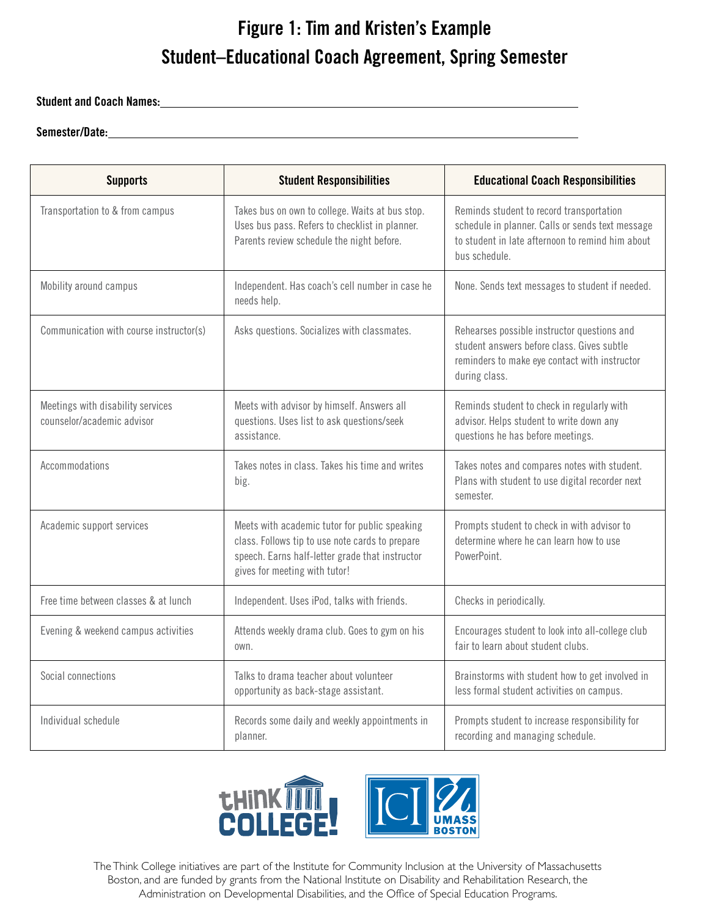# **Figure 1: Tim and Kristen's Example Student–Educational Coach Agreement, Spring Semester**

#### **Student and Coach Names:**

#### **Semester/Date:**

| <b>Supports</b>                                                 | <b>Student Responsibilities</b>                                                                                                                                                      | <b>Educational Coach Responsibilities</b>                                                                                                                         |
|-----------------------------------------------------------------|--------------------------------------------------------------------------------------------------------------------------------------------------------------------------------------|-------------------------------------------------------------------------------------------------------------------------------------------------------------------|
| Transportation to & from campus                                 | Takes bus on own to college. Waits at bus stop.<br>Uses bus pass. Refers to checklist in planner.<br>Parents review schedule the night before.                                       | Reminds student to record transportation<br>schedule in planner. Calls or sends text message<br>to student in late afternoon to remind him about<br>bus schedule. |
| Mobility around campus                                          | Independent. Has coach's cell number in case he<br>needs help.                                                                                                                       | None. Sends text messages to student if needed.                                                                                                                   |
| Communication with course instructor(s)                         | Asks questions. Socializes with classmates.                                                                                                                                          | Rehearses possible instructor questions and<br>student answers before class. Gives subtle<br>reminders to make eye contact with instructor<br>during class.       |
| Meetings with disability services<br>counselor/academic advisor | Meets with advisor by himself. Answers all<br>questions. Uses list to ask questions/seek<br>assistance.                                                                              | Reminds student to check in regularly with<br>advisor. Helps student to write down any<br>questions he has before meetings.                                       |
| Accommodations                                                  | Takes notes in class. Takes his time and writes<br>big.                                                                                                                              | Takes notes and compares notes with student.<br>Plans with student to use digital recorder next<br>semester.                                                      |
| Academic support services                                       | Meets with academic tutor for public speaking<br>class. Follows tip to use note cards to prepare<br>speech. Earns half-letter grade that instructor<br>gives for meeting with tutor! | Prompts student to check in with advisor to<br>determine where he can learn how to use<br>PowerPoint.                                                             |
| Free time between classes & at lunch                            | Independent. Uses iPod, talks with friends.                                                                                                                                          | Checks in periodically.                                                                                                                                           |
| Evening & weekend campus activities                             | Attends weekly drama club. Goes to gym on his<br>own.                                                                                                                                | Encourages student to look into all-college club<br>fair to learn about student clubs.                                                                            |
| Social connections                                              | Talks to drama teacher about volunteer<br>opportunity as back-stage assistant.                                                                                                       | Brainstorms with student how to get involved in<br>less formal student activities on campus.                                                                      |
| Individual schedule                                             | Records some daily and weekly appointments in<br>planner.                                                                                                                            | Prompts student to increase responsibility for<br>recording and managing schedule.                                                                                |



The Think College initiatives are part of the Institute for Community Inclusion at the University of Massachusetts Boston, and are funded by grants from the National Institute on Disability and Rehabilitation Research, the Administration on Developmental Disabilities, and the Office of Special Education Programs.